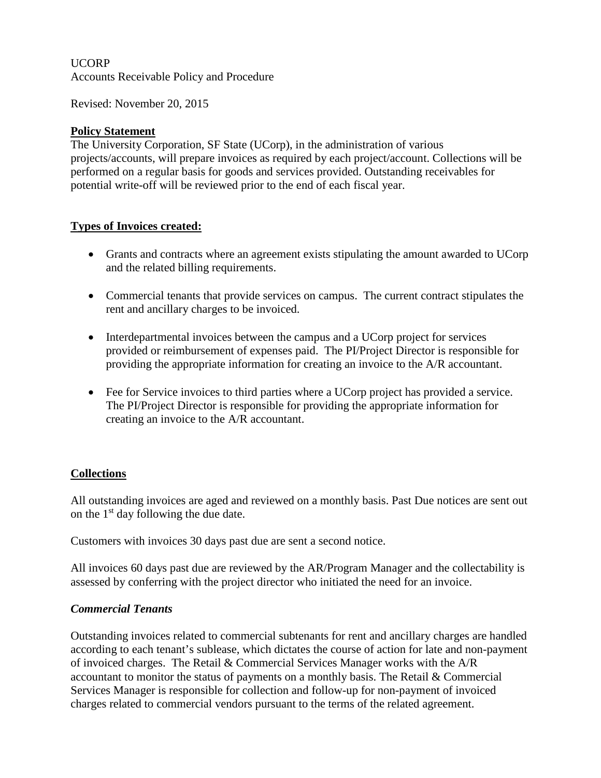# UCORP Accounts Receivable Policy and Procedure

Revised: November 20, 2015

### **Policy Statement**

The University Corporation, SF State (UCorp), in the administration of various projects/accounts, will prepare invoices as required by each project/account. Collections will be performed on a regular basis for goods and services provided. Outstanding receivables for potential write-off will be reviewed prior to the end of each fiscal year.

## **Types of Invoices created:**

- Grants and contracts where an agreement exists stipulating the amount awarded to UCorp and the related billing requirements.
- Commercial tenants that provide services on campus. The current contract stipulates the rent and ancillary charges to be invoiced.
- Interdepartmental invoices between the campus and a UCorp project for services provided or reimbursement of expenses paid. The PI/Project Director is responsible for providing the appropriate information for creating an invoice to the A/R accountant.
- Fee for Service invoices to third parties where a UCorp project has provided a service. The PI/Project Director is responsible for providing the appropriate information for creating an invoice to the A/R accountant.

## **Collections**

All outstanding invoices are aged and reviewed on a monthly basis. Past Due notices are sent out on the  $1<sup>st</sup>$  day following the due date.

Customers with invoices 30 days past due are sent a second notice.

All invoices 60 days past due are reviewed by the AR/Program Manager and the collectability is assessed by conferring with the project director who initiated the need for an invoice.

### *Commercial Tenants*

Outstanding invoices related to commercial subtenants for rent and ancillary charges are handled according to each tenant's sublease, which dictates the course of action for late and non-payment of invoiced charges. The Retail & Commercial Services Manager works with the A/R accountant to monitor the status of payments on a monthly basis. The Retail & Commercial Services Manager is responsible for collection and follow-up for non-payment of invoiced charges related to commercial vendors pursuant to the terms of the related agreement.